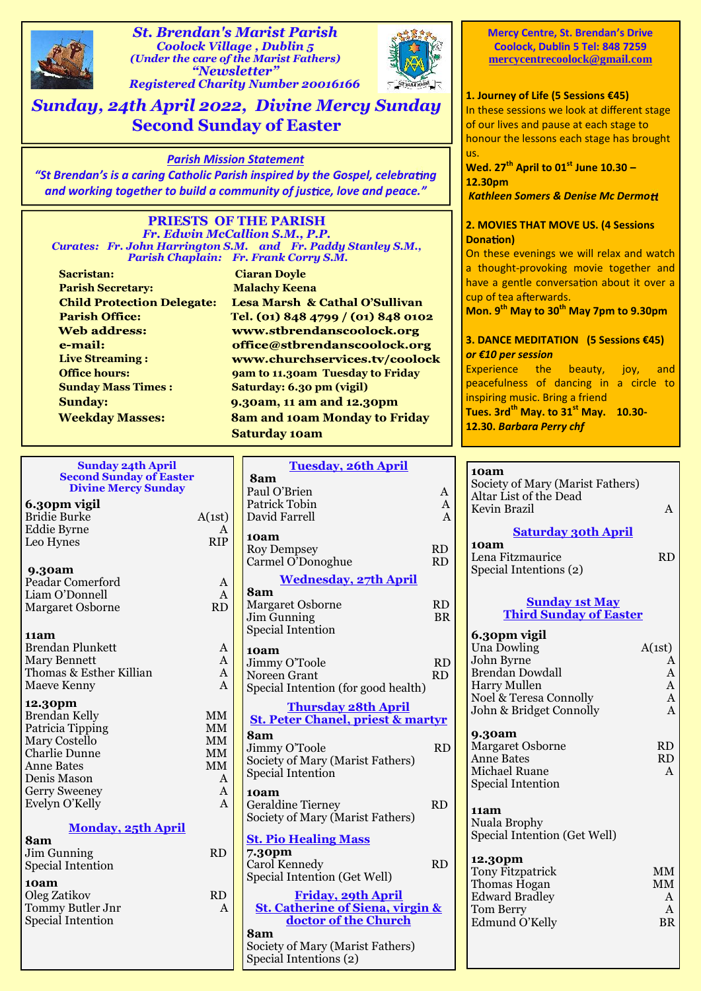

*St. Brendan's Marist Parish Coolock Village , Dublin 5 (Under the care of the Marist Fathers) "Newsletter" Registered Charity Number 20016166*



*Sunday, 24th April 2022, Divine Mercy Sunday* **Second Sunday of Easter**

## *Parish Mission Statement*

*"St Brendan's is a caring Catholic Parish inspired by the Gospel, celebra ng and working together to build a community of justice, love and peace."* 

#### **PRIESTS OF THE PARISH** *Fr. Edwin McCallion S.M., P.P. Curates: Fr. John Harrington S.M. and Fr. Paddy Stanley S.M., Parish Chaplain: Fr. Frank Corry S.M.*

**Sacristan: Ciaran Doyle Parish Secretary: Malachy Keena Child Protection Delegate: Parish Office: Web address:** e-mail: **Live Streaming : Sunday Mass Times : Saturday: 6.30 pm (vigil)**

Lesa Marsh & Cathal O'Sullivan Tel. (01) 848 4799 / (01) 848 0102 www.stbrendanscoolock.org office@stbrendanscoolock.org www.churchservices.tv/coolock **Office hours:** 9am to 11.30am Tuesday to Friday **Sunday: 9.30am, 11 am and 12.30pm Weekday Masses: 8am and 10am Monday to Friday Saturday 10am**

|                                | <b>Sunday 24th April</b>   |              | <b>Tuesday, 26th April</b>                   |           | 10am            |
|--------------------------------|----------------------------|--------------|----------------------------------------------|-----------|-----------------|
| <b>Second Sunday of Easter</b> |                            |              | 8am                                          |           | Society o       |
|                                | <b>Divine Mercy Sunday</b> |              | Paul O'Brien                                 | A         | Altar Lis       |
|                                | 6.30pm vigil               |              | Patrick Tobin                                | A         | Kevin Bı        |
|                                | <b>Bridie Burke</b>        | A(1st)       | David Farrell                                | A         |                 |
|                                | <b>Eddie Byrne</b>         | A            |                                              |           |                 |
|                                | Leo Hynes                  | <b>RIP</b>   | 10am                                         |           | 10am            |
|                                |                            |              | <b>Roy Dempsey</b>                           | <b>RD</b> | Lena Fit        |
|                                | 9.30am                     |              | Carmel O'Donoghue                            | <b>RD</b> | Special I       |
|                                | Peadar Comerford           | A            | <b>Wednesday, 27th April</b>                 |           |                 |
|                                | Liam O'Donnell             | $\mathbf{A}$ | 8am                                          |           |                 |
|                                | Margaret Osborne           | RD           | <b>Margaret Osborne</b>                      | RD        |                 |
|                                |                            |              | Jim Gunning                                  | <b>BR</b> | T               |
|                                |                            |              | <b>Special Intention</b>                     |           |                 |
|                                | 11am                       |              |                                              |           | 6.30pm          |
|                                | <b>Brendan Plunkett</b>    | A            | 10am                                         |           | Una Dov         |
|                                | Mary Bennett               | A            | Jimmy O'Toole                                | RD        | John By         |
|                                | Thomas & Esther Killian    | A            | Noreen Grant                                 | <b>RD</b> | <b>Brendan</b>  |
|                                | Maeve Kenny                | A            | Special Intention (for good health)          |           | Harry M         |
|                                | 12.30pm                    |              | <b>Thursday 28th April</b>                   |           | Noel & T        |
|                                | <b>Brendan Kelly</b>       | $\mbox{MM}$  |                                              |           | John & I        |
|                                | Patricia Tipping           | MM           | <b>St. Peter Chanel, priest &amp; martyr</b> |           |                 |
|                                | Mary Costello              | <b>MM</b>    | 8am                                          |           | 9.30am          |
|                                | <b>Charlie Dunne</b>       | <b>MM</b>    | Jimmy O'Toole                                | <b>RD</b> | Margare         |
|                                | <b>Anne Bates</b>          | <b>MM</b>    | Society of Mary (Marist Fathers)             |           | Anne Ba         |
|                                | Denis Mason                | A            | Special Intention                            |           | Michael         |
|                                | <b>Gerry Sweeney</b>       | $\mathbf{A}$ | 10am                                         |           | Special I       |
|                                | Evelyn O'Kelly             | A            | <b>Geraldine Tierney</b>                     | RD        |                 |
|                                |                            |              | Society of Mary (Marist Fathers)             |           | 11am            |
|                                | <b>Monday, 25th April</b>  |              |                                              |           | Nuala B         |
|                                | 8am                        |              | <b>St. Pio Healing Mass</b>                  |           | Special I       |
|                                | Jim Gunning                | RD           | 7.30pm                                       |           |                 |
|                                | <b>Special Intention</b>   |              | Carol Kennedy                                | <b>RD</b> | 12.30pl         |
|                                |                            |              | Special Intention (Get Well)                 |           | <b>Tony Fit</b> |
|                                | 10am                       |              |                                              |           | Thomas          |
|                                | Oleg Zatikov               | <b>RD</b>    | <b>Friday, 29th April</b>                    |           | Edward          |
|                                | Tommy Butler Jnr           | A            | <b>St. Catherine of Siena, virgin &amp;</b>  |           | Tom Ber         |
|                                | <b>Special Intention</b>   |              | doctor of the Church                         |           | Edmund          |
|                                |                            |              | 8am                                          |           |                 |
|                                |                            |              | Society of Mary (Marist Fathers)             |           |                 |
|                                |                            |              | Special Intentions (2)                       |           |                 |

**Mercy Centre, St. Brendan's Drive Coolock, Dublin 5 Tel: 848 7259 mercycentrecoolock@gmail.com**

## **1. Journey of Life (5 Sessions €45)**

In these sessions we look at different stage of our lives and pause at each stage to honour the lessons each stage has brought us.

**Wed. 27th April to 01st June 10.30 – 12.30pm**

*Kathleen Somers & Denise Mc Dermo*

## **2. MOVIES THAT MOVE US. (4 Sessions Donation**)

On these evenings we will relax and watch a thought-provoking movie together and have a gentle conversation about it over a cup of tea afterwards.

**Mon. 9th May to 30th May 7pm to 9.30pm**

#### **3. DANCE MEDITATION (5 Sessions €45)** *or €10 per session*

Experience the beauty, joy, and peacefulness of dancing in a circle to inspiring music. Bring a friend **Tues. 3rdth May. to 31st May. 10.30- 12.30.** *Barbara Perry chf*

| 10am |  |  |
|------|--|--|
|      |  |  |

iety of Mary (Marist Fathers) ar List of the Dead  $\lambda$  and Brazil  $\lambda$ 

## **Saturday 30th April**

**10am** Lena Fitzmaurice RD ecial Intentions (2)

#### **Sunday 1st May Third Sunday of Easter**

| 6.30pm vigil                 |              |  |
|------------------------------|--------------|--|
| Una Dowling                  | A(1st)       |  |
| John Byrne                   | A            |  |
| <b>Brendan Dowdall</b>       | $\mathsf{A}$ |  |
| <b>Harry Mullen</b>          | A            |  |
| Noel & Teresa Connolly       | A            |  |
| John & Bridget Connolly      | A            |  |
| 9.30am                       |              |  |
| <b>Margaret Osborne</b>      | <b>RD</b>    |  |
| <b>Anne Bates</b>            | <b>RD</b>    |  |
| Michael Ruane                | A            |  |
| <b>Special Intention</b>     |              |  |
|                              |              |  |
| 11am                         |              |  |
| Nuala Brophy                 |              |  |
| Special Intention (Get Well) |              |  |
|                              |              |  |
| 12.30pm                      |              |  |
| <b>Tony Fitzpatrick</b>      | <b>MM</b>    |  |
| Thomas Hogan                 | MМ           |  |
| <b>Edward Bradley</b>        | A            |  |
| Tom Berry                    | A            |  |
| Edmund O'Kelly               | <b>BR</b>    |  |
|                              |              |  |
|                              |              |  |